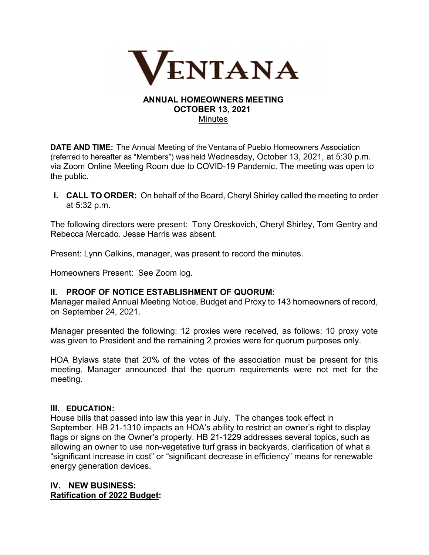

## ANNUAL HOMEOWNERS MEETING  OCTOBER 13, 2021  **Minutes**

DATE AND TIME:  The Annual Meeting of the Ventana of Pueblo Homeowners Association (referred to hereafter as "Members") was held Wednesday, October 13, 2021, at 5:30 p.m. via Zoom Online Meeting Room due to COVID-19 Pandemic. The meeting was open to the public.

I. CALL TO ORDER:  On behalf of the Board, Cheryl Shirley called the meeting to order at 5:32 p.m.

The following directors were present: Tony Oreskovich, Cheryl Shirley, Tom Gentry and Rebecca Mercado. Jesse Harris was absent.

Present: Lynn Calkins, manager, was present to record the minutes.

Homeowners Present: See Zoom log.

## II. PROOF OF NOTICE ESTABLISHMENT OF QUORUM:

Manager mailed Annual Meeting Notice, Budget and Proxy to 143 homeowners of record, on September 24, 2021.  

Manager presented the following: 12 proxies were received, as follows: 10 proxy vote was given to President and the remaining 2 proxies were for quorum purposes only.

HOA Bylaws state that 20% of the votes of the association must be present for this meeting. Manager announced that the quorum requirements were not met for the meeting.

#### III. EDUCATION:

House bills that passed into law this year in July. The changes took effect in September. HB 21-1310 impacts an HOA's ability to restrict an owner's right to display flags or signs on the Owner's property. HB 21-1229 addresses several topics, such as allowing an owner to use non-vegetative turf grass in backyards, clarification of what a "significant increase in cost" or "significant decrease in efficiency" means for renewable energy generation devices.

# IV. NEW BUSINESS: Ratification of 2022 Budget: